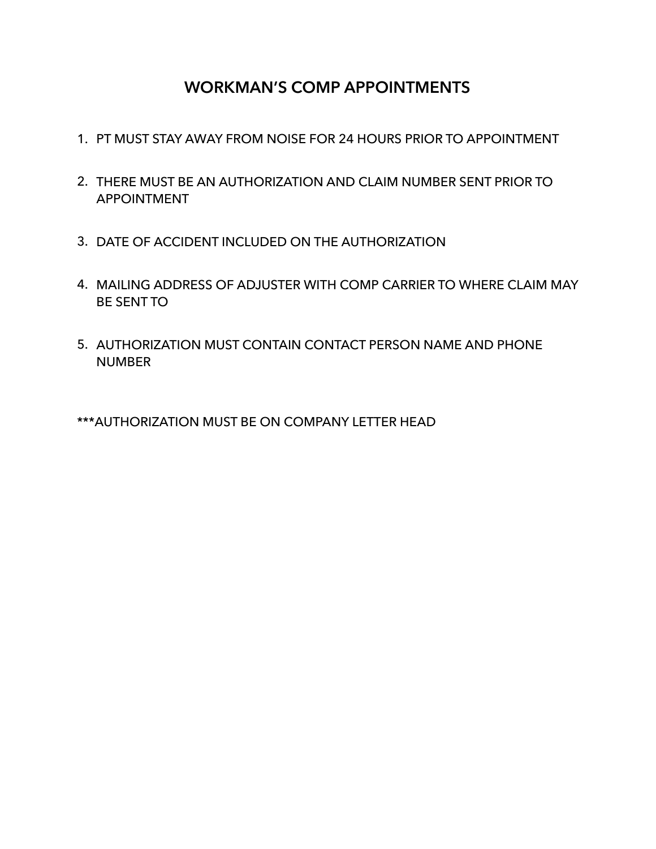## **WORKMAN'S COMP APPOINTMENTS**

- 1. PT MUST STAY AWAY FROM NOISE FOR 24 HOURS PRIOR TO APPOINTMENT
- 2. THERE MUST BE AN AUTHORIZATION AND CLAIM NUMBER SENT PRIOR TO APPOINTMENT
- 3. DATE OF ACCIDENT INCLUDED ON THE AUTHORIZATION
- 4. MAILING ADDRESS OF ADJUSTER WITH COMP CARRIER TO WHERE CLAIM MAY BE SENT TO
- 5. AUTHORIZATION MUST CONTAIN CONTACT PERSON NAME AND PHONE **NUMBER**

\*\*\*AUTHORIZATION MUST BE ON COMPANY LETTER HEAD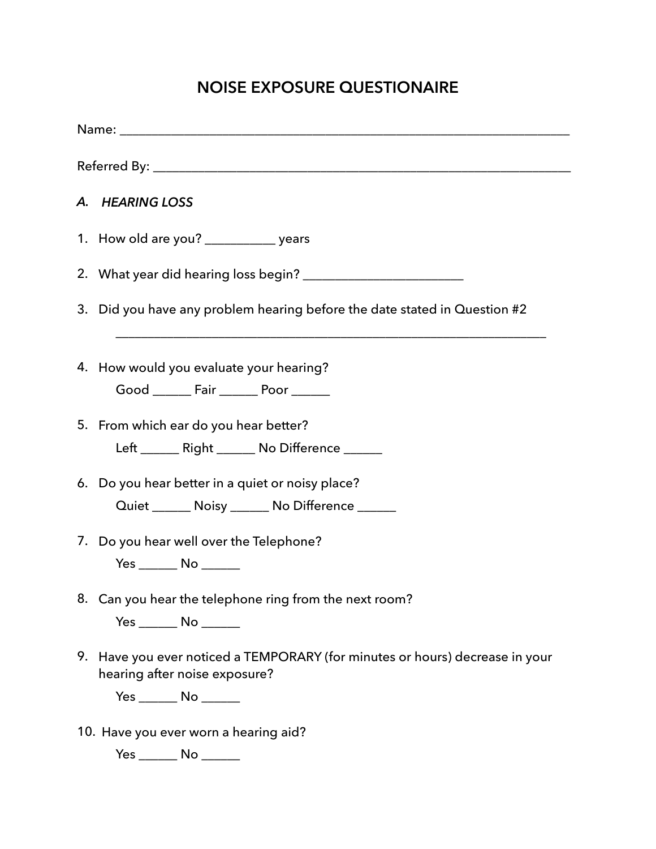## **NOISE EXPOSURE QUESTIONAIRE**

|  | A. HEARING LOSS                                                                                               |  |  |  |  |
|--|---------------------------------------------------------------------------------------------------------------|--|--|--|--|
|  | 1. How old are you? ______________ years                                                                      |  |  |  |  |
|  |                                                                                                               |  |  |  |  |
|  | 3. Did you have any problem hearing before the date stated in Question #2                                     |  |  |  |  |
|  | 4. How would you evaluate your hearing?<br>Good ________ Fair ________ Poor _______                           |  |  |  |  |
|  | 5. From which ear do you hear better?<br>Left ________ Right ________ No Difference _______                   |  |  |  |  |
|  | 6. Do you hear better in a quiet or noisy place?<br>Quiet _______ Noisy ______ No Difference ______           |  |  |  |  |
|  | 7. Do you hear well over the Telephone?                                                                       |  |  |  |  |
|  | 8. Can you hear the telephone ring from the next room?<br>Yes _______ No _______                              |  |  |  |  |
|  | 9. Have you ever noticed a TEMPORARY (for minutes or hours) decrease in your<br>hearing after noise exposure? |  |  |  |  |
|  | Yes _______ No _______                                                                                        |  |  |  |  |
|  | 10. Have you ever worn a hearing aid?                                                                         |  |  |  |  |

Yes \_\_\_\_\_\_ No \_\_\_\_\_\_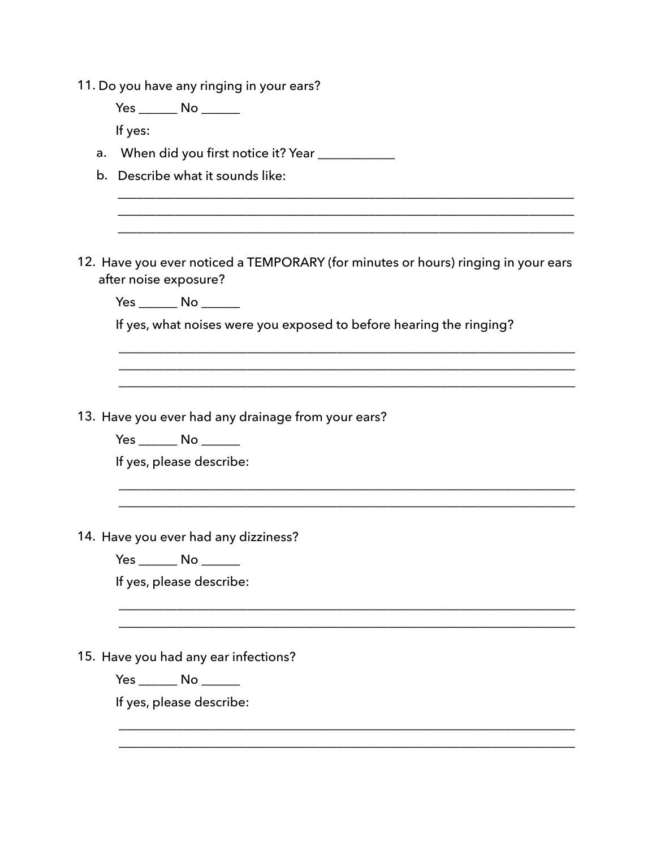| 11. Do you have any ringing in your ears?                                                                  |
|------------------------------------------------------------------------------------------------------------|
| Yes _______ No ______                                                                                      |
| If yes:                                                                                                    |
| When did you first notice it? Year ____________<br>a.                                                      |
| b. Describe what it sounds like:                                                                           |
|                                                                                                            |
| 12. Have you ever noticed a TEMPORARY (for minutes or hours) ringing in your ears<br>after noise exposure? |
| Yes _______ No _______                                                                                     |
| If yes, what noises were you exposed to before hearing the ringing?                                        |
|                                                                                                            |
|                                                                                                            |
| 13. Have you ever had any drainage from your ears?                                                         |
| Yes _______ No _______                                                                                     |
| If yes, please describe:                                                                                   |
|                                                                                                            |
| 14. Have you ever had any dizziness?                                                                       |
| Yes _______ No ______                                                                                      |
| If yes, please describe:                                                                                   |
|                                                                                                            |
| 15. Have you had any ear infections?                                                                       |
| Yes _______ No ______                                                                                      |
| If yes, please describe:                                                                                   |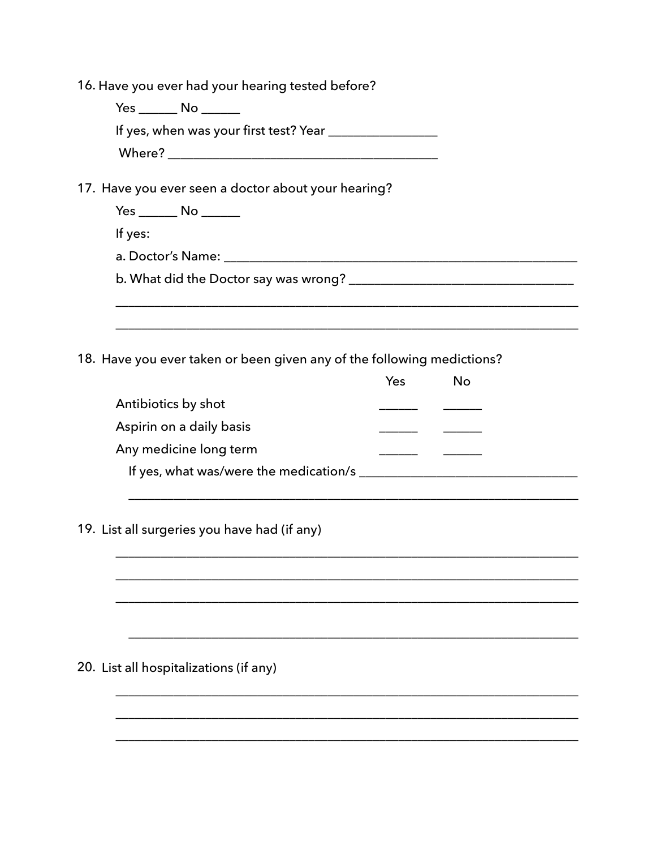| 16. Have you ever had your hearing tested before?                      |     |           |  |
|------------------------------------------------------------------------|-----|-----------|--|
| Yes _______ No _______                                                 |     |           |  |
| If yes, when was your first test? Year ____________________            |     |           |  |
|                                                                        |     |           |  |
|                                                                        |     |           |  |
| 17. Have you ever seen a doctor about your hearing?                    |     |           |  |
| Yes _______ No _______                                                 |     |           |  |
| If yes:                                                                |     |           |  |
|                                                                        |     |           |  |
|                                                                        |     |           |  |
|                                                                        |     |           |  |
|                                                                        |     |           |  |
| 18. Have you ever taken or been given any of the following medictions? |     |           |  |
|                                                                        | Yes | <b>No</b> |  |
| Antibiotics by shot                                                    |     |           |  |
| Aspirin on a daily basis                                               |     |           |  |
| Any medicine long term                                                 |     |           |  |
|                                                                        |     |           |  |
|                                                                        |     |           |  |
|                                                                        |     |           |  |
| 19. List all surgeries you have had (if any)                           |     |           |  |
|                                                                        |     |           |  |
|                                                                        |     |           |  |
|                                                                        |     |           |  |
|                                                                        |     |           |  |
|                                                                        |     |           |  |
| 20. List all hospitalizations (if any)                                 |     |           |  |
|                                                                        |     |           |  |
|                                                                        |     |           |  |
|                                                                        |     |           |  |
|                                                                        |     |           |  |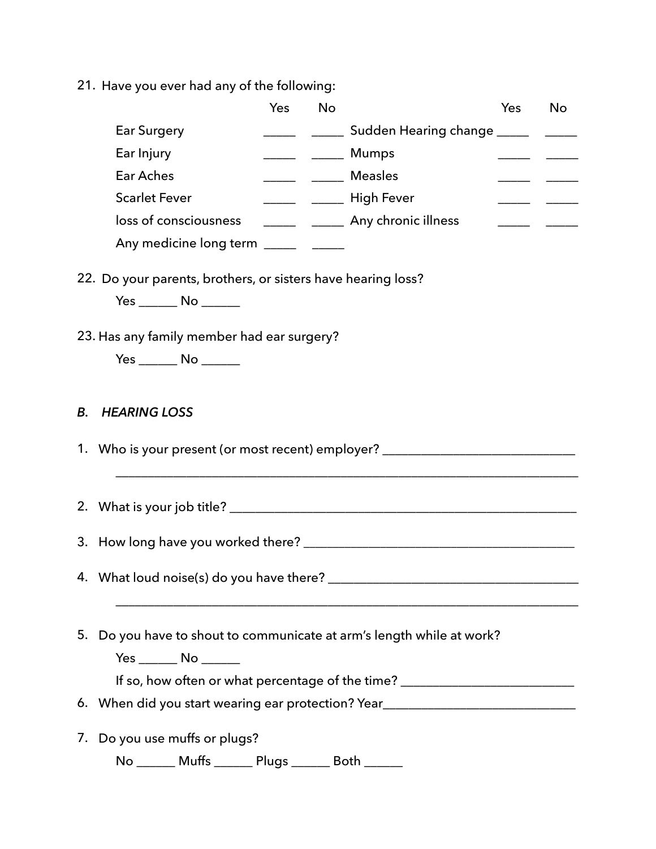21. Have you ever had any of the following:

|                                                                                  | Yes | <b>No</b> |                                                                                  | Yes | No |
|----------------------------------------------------------------------------------|-----|-----------|----------------------------------------------------------------------------------|-----|----|
| <b>Ear Surgery</b>                                                               |     |           | ________________ Sudden Hearing change ______                                    |     |    |
| Ear Injury                                                                       |     |           | ______ ______ Mumps                                                              |     |    |
| <b>Ear Aches</b>                                                                 |     |           | <b>Neasles</b> Measles                                                           |     |    |
| <b>Scarlet Fever</b>                                                             |     |           | _______ ______ High Fever                                                        |     |    |
| loss of consciousness                                                            |     |           | _______ ______ Any chronic illness                                               |     |    |
| Any medicine long term _______ ______                                            |     |           |                                                                                  |     |    |
| 22. Do your parents, brothers, or sisters have hearing loss?                     |     |           |                                                                                  |     |    |
| $Yes \_\_\_ No \_\_\_\_$                                                         |     |           |                                                                                  |     |    |
| 23. Has any family member had ear surgery?                                       |     |           |                                                                                  |     |    |
| Yes _______ No _______                                                           |     |           |                                                                                  |     |    |
|                                                                                  |     |           |                                                                                  |     |    |
|                                                                                  |     |           |                                                                                  |     |    |
| <b>HEARING LOSS</b><br>В.                                                        |     |           |                                                                                  |     |    |
|                                                                                  |     |           |                                                                                  |     |    |
| 1. Who is your present (or most recent) employer? ______________________________ |     |           |                                                                                  |     |    |
|                                                                                  |     |           |                                                                                  |     |    |
|                                                                                  |     |           |                                                                                  |     |    |
|                                                                                  |     |           |                                                                                  |     |    |
|                                                                                  |     |           |                                                                                  |     |    |
| 4. What loud noise(s) do you have there? _______________                         |     |           |                                                                                  |     |    |
|                                                                                  |     |           |                                                                                  |     |    |
| 5. Do you have to shout to communicate at arm's length while at work?            |     |           |                                                                                  |     |    |
| Yes _______ No _______                                                           |     |           |                                                                                  |     |    |
|                                                                                  |     |           | If so, how often or what percentage of the time? _______________________________ |     |    |
| 6. When did you start wearing ear protection? Year______________________________ |     |           |                                                                                  |     |    |
| Do you use muffs or plugs?<br>7.                                                 |     |           |                                                                                  |     |    |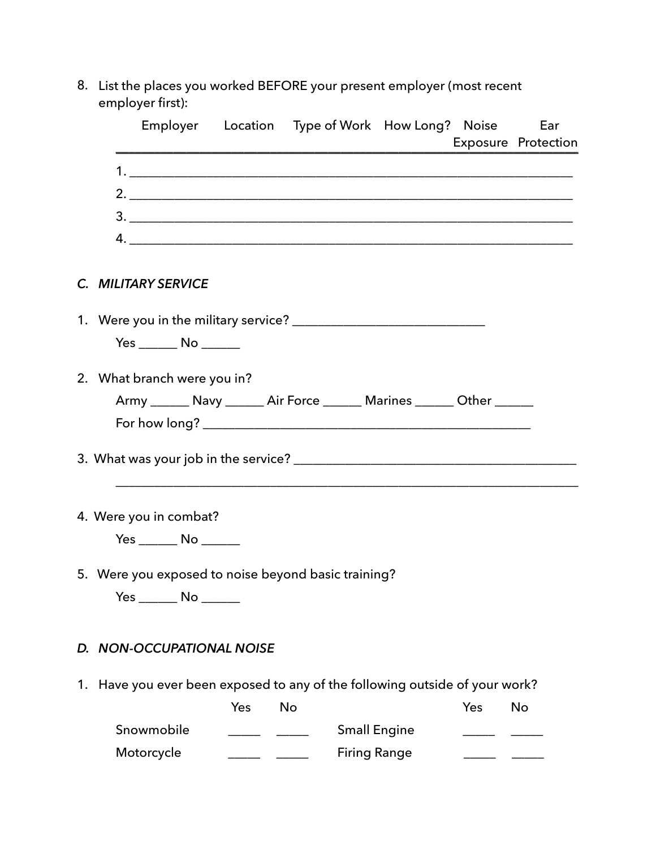8. List the places you worked BEFORE your present employer (most recent employer first):

|                                                                             |     |           | Employer Location Type of Work How Long? Noise Ear                        |     | <b>Exposure Protection</b> |
|-----------------------------------------------------------------------------|-----|-----------|---------------------------------------------------------------------------|-----|----------------------------|
|                                                                             |     |           |                                                                           |     |                            |
|                                                                             |     |           |                                                                           |     |                            |
|                                                                             |     |           |                                                                           |     |                            |
|                                                                             |     |           |                                                                           |     |                            |
| C. MILITARY SERVICE                                                         |     |           |                                                                           |     |                            |
|                                                                             |     |           |                                                                           |     |                            |
| Yes _______ No _______                                                      |     |           |                                                                           |     |                            |
| 2. What branch were you in?                                                 |     |           |                                                                           |     |                            |
|                                                                             |     |           | Army _______ Navy _______ Air Force _______ Marines _______ Other _______ |     |                            |
|                                                                             |     |           |                                                                           |     |                            |
|                                                                             |     |           |                                                                           |     |                            |
| 4. Were you in combat?                                                      |     |           |                                                                           |     |                            |
| Yes _______ No _______                                                      |     |           |                                                                           |     |                            |
| 5. Were you exposed to noise beyond basic training?                         |     |           |                                                                           |     |                            |
|                                                                             |     |           |                                                                           |     |                            |
| D. NON-OCCUPATIONAL NOISE                                                   |     |           |                                                                           |     |                            |
| 1. Have you ever been exposed to any of the following outside of your work? |     |           |                                                                           |     |                            |
|                                                                             | Yes | <b>No</b> |                                                                           | Yes | No                         |
| Snowmobile                                                                  |     |           | <b>Small Engine</b>                                                       |     |                            |
| Motorcycle                                                                  |     |           | <b>Firing Range</b>                                                       |     |                            |